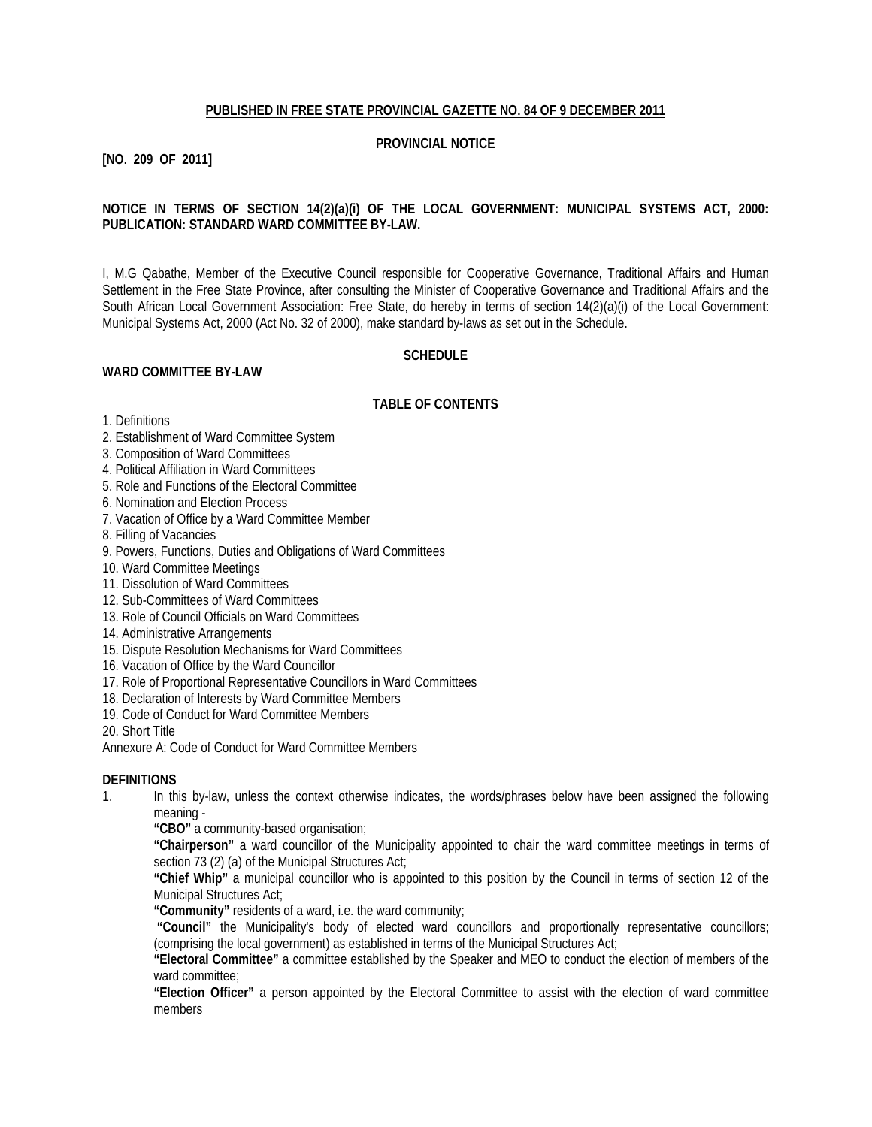### **PUBLISHED IN FREE STATE PROVINCIAL GAZETTE NO. 84 OF 9 DECEMBER 2011**

#### **PROVINCIAL NOTICE**

#### **[NO. 209 OF 2011]**

### **NOTICE IN TERMS OF SECTION 14(2)(a)(i) OF THE LOCAL GOVERNMENT: MUNICIPAL SYSTEMS ACT, 2000: PUBLICATION: STANDARD WARD COMMITTEE BY-LAW.**

I, M.G Qabathe, Member of the Executive Council responsible for Cooperative Governance, Traditional Affairs and Human Settlement in the Free State Province, after consulting the Minister of Cooperative Governance and Traditional Affairs and the South African Local Government Association: Free State, do hereby in terms of section 14(2)(a)(i) of the Local Government: Municipal Systems Act, 2000 (Act No. 32 of 2000), make standard by-laws as set out in the Schedule.

#### **SCHEDULE**

#### **WARD COMMITTEE BY-LAW**

#### **TABLE OF CONTENTS**

1. Definitions

- 2. Establishment of Ward Committee System
- 3. Composition of Ward Committees
- 4. Political Affiliation in Ward Committees
- 5. Role and Functions of the Electoral Committee
- 6. Nomination and Election Process
- 7. Vacation of Office by a Ward Committee Member
- 8. Filling of Vacancies
- 9. Powers, Functions, Duties and Obligations of Ward Committees
- 10. Ward Committee Meetings
- 11. Dissolution of Ward Committees
- 12. Sub-Committees of Ward Committees
- 13. Role of Council Officials on Ward Committees
- 14. Administrative Arrangements
- 15. Dispute Resolution Mechanisms for Ward Committees
- 16. Vacation of Office by the Ward Councillor
- 17. Role of Proportional Representative Councillors in Ward Committees
- 18. Declaration of Interests by Ward Committee Members
- 19. Code of Conduct for Ward Committee Members

20. Short Title

Annexure A: Code of Conduct for Ward Committee Members

### **DEFINITIONS**

1. In this by-law, unless the context otherwise indicates, the words/phrases below have been assigned the following meaning -

**"CBO"** a community-based organisation;

**"Chairperson"** a ward councillor of the Municipality appointed to chair the ward committee meetings in terms of section 73 (2) (a) of the Municipal Structures Act;

**"Chief Whip"** a municipal councillor who is appointed to this position by the Council in terms of section 12 of the Municipal Structures Act;

**"Community"** residents of a ward, i.e. the ward community;

**"Council"** the Municipality's body of elected ward councillors and proportionally representative councillors; (comprising the local government) as established in terms of the Municipal Structures Act;

**"Electoral Committee"** a committee established by the Speaker and MEO to conduct the election of members of the ward committee:

**"Election Officer"** a person appointed by the Electoral Committee to assist with the election of ward committee members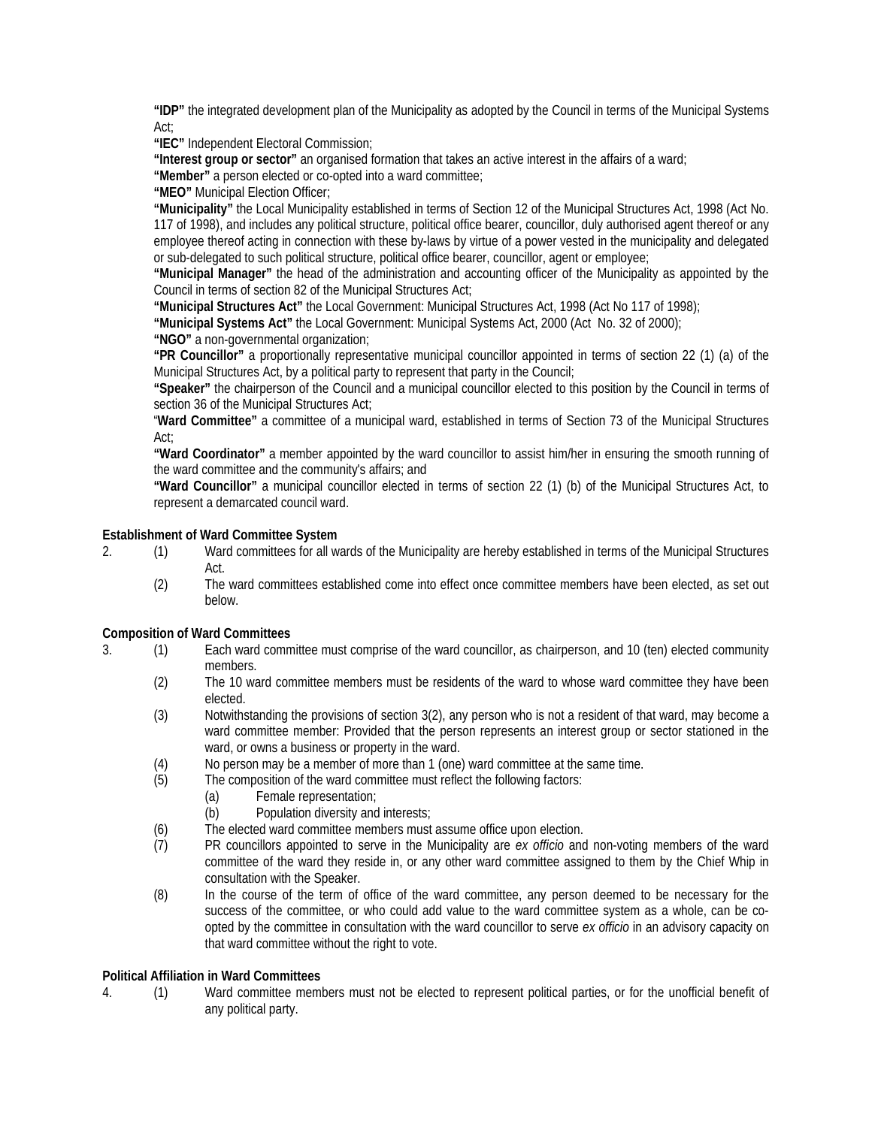**"IDP"** the integrated development plan of the Municipality as adopted by the Council in terms of the Municipal Systems Act;

**"IEC"** Independent Electoral Commission;

**"Interest group or sector"** an organised formation that takes an active interest in the affairs of a ward;

**"Member"** a person elected or co-opted into a ward committee;

**"MEO"** Municipal Election Officer;

**"Municipality"** the Local Municipality established in terms of Section 12 of the Municipal Structures Act, 1998 (Act No. 117 of 1998), and includes any political structure, political office bearer, councillor, duly authorised agent thereof or any employee thereof acting in connection with these by-laws by virtue of a power vested in the municipality and delegated or sub-delegated to such political structure, political office bearer, councillor, agent or employee;

**"Municipal Manager"** the head of the administration and accounting officer of the Municipality as appointed by the Council in terms of section 82 of the Municipal Structures Act;

**"Municipal Structures Act"** the Local Government: Municipal Structures Act, 1998 (Act No 117 of 1998);

**"Municipal Systems Act"** the Local Government: Municipal Systems Act, 2000 (Act No. 32 of 2000);

**"NGO"** a non-governmental organization;

**"PR Councillor"** a proportionally representative municipal councillor appointed in terms of section 22 (1) (a) of the Municipal Structures Act, by a political party to represent that party in the Council;

**"Speaker"** the chairperson of the Council and a municipal councillor elected to this position by the Council in terms of section 36 of the Municipal Structures Act;

"**Ward Committee"** a committee of a municipal ward, established in terms of Section 73 of the Municipal Structures Act;

**"Ward Coordinator"** a member appointed by the ward councillor to assist him/her in ensuring the smooth running of the ward committee and the community's affairs; and

**"Ward Councillor"** a municipal councillor elected in terms of section 22 (1) (b) of the Municipal Structures Act, to represent a demarcated council ward.

### **Establishment of Ward Committee System**

- 2. (1) Ward committees for all wards of the Municipality are hereby established in terms of the Municipal Structures Act.
	- (2) The ward committees established come into effect once committee members have been elected, as set out below.

### **Composition of Ward Committees**

- 3. (1) Each ward committee must comprise of the ward councillor, as chairperson, and 10 (ten) elected community members.
	- (2) The 10 ward committee members must be residents of the ward to whose ward committee they have been elected.
	- (3) Notwithstanding the provisions of section 3(2), any person who is not a resident of that ward, may become a ward committee member: Provided that the person represents an interest group or sector stationed in the ward, or owns a business or property in the ward.
	- (4) No person may be a member of more than 1 (one) ward committee at the same time.
	- (5) The composition of the ward committee must reflect the following factors:
		- (a) Female representation;
		- (b) Population diversity and interests;
	- (6) The elected ward committee members must assume office upon election.
	- (7) PR councillors appointed to serve in the Municipality are *ex officio* and non-voting members of the ward committee of the ward they reside in, or any other ward committee assigned to them by the Chief Whip in consultation with the Speaker.
	- (8) In the course of the term of office of the ward committee, any person deemed to be necessary for the success of the committee, or who could add value to the ward committee system as a whole, can be coopted by the committee in consultation with the ward councillor to serve *ex officio* in an advisory capacity on that ward committee without the right to vote.

### **Political Affiliation in Ward Committees**

4. (1) Ward committee members must not be elected to represent political parties, or for the unofficial benefit of any political party.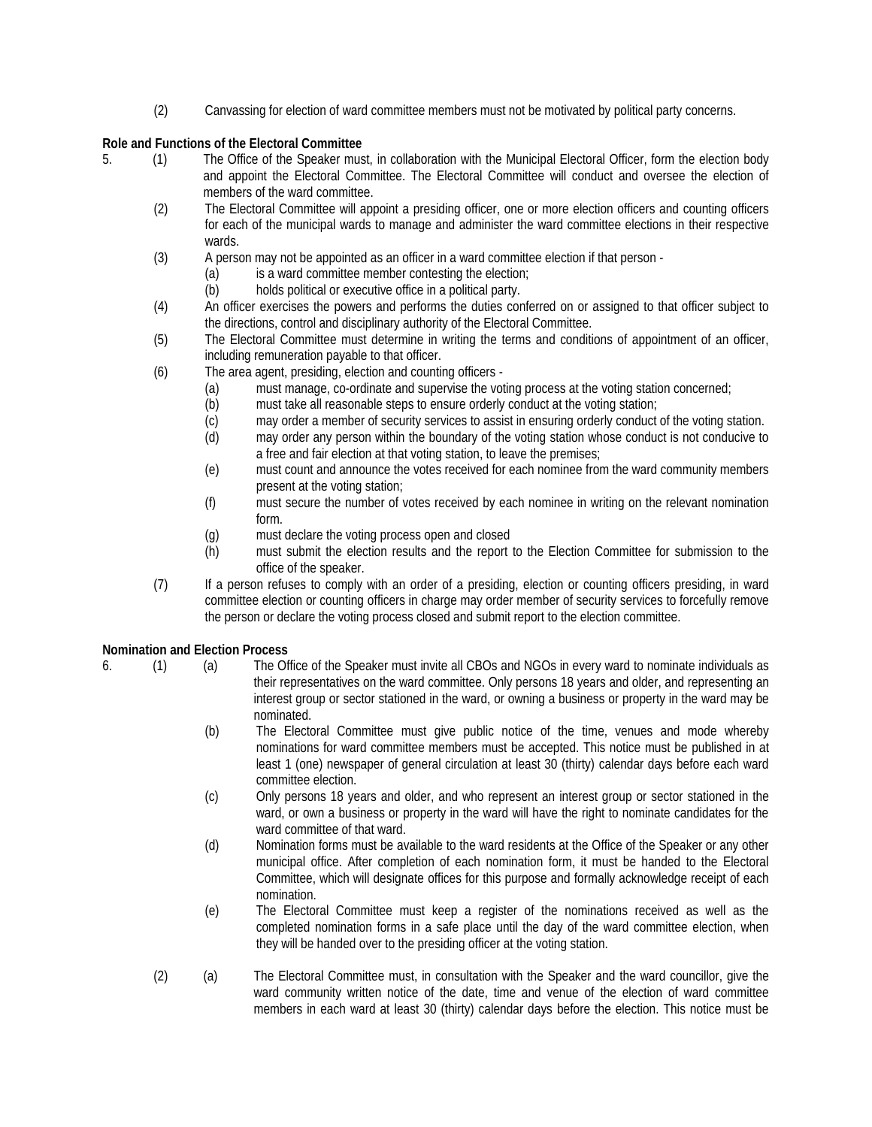(2) Canvassing for election of ward committee members must not be motivated by political party concerns.

## **Role and Functions of the Electoral Committee**

- 5. (1) The Office of the Speaker must, in collaboration with the Municipal Electoral Officer, form the election body and appoint the Electoral Committee. The Electoral Committee will conduct and oversee the election of members of the ward committee.
	- (2) The Electoral Committee will appoint a presiding officer, one or more election officers and counting officers for each of the municipal wards to manage and administer the ward committee elections in their respective wards.
	- (3) A person may not be appointed as an officer in a ward committee election if that person
		- (a) is a ward committee member contesting the election;
			- (b) holds political or executive office in a political party.
	- (4) An officer exercises the powers and performs the duties conferred on or assigned to that officer subject to the directions, control and disciplinary authority of the Electoral Committee.
	- (5) The Electoral Committee must determine in writing the terms and conditions of appointment of an officer, including remuneration payable to that officer.
	- (6) The area agent, presiding, election and counting officers
		- (a) must manage, co-ordinate and supervise the voting process at the voting station concerned;
		- (b) must take all reasonable steps to ensure orderly conduct at the voting station;
		- (c) may order a member of security services to assist in ensuring orderly conduct of the voting station.
		- (d) may order any person within the boundary of the voting station whose conduct is not conducive to a free and fair election at that voting station, to leave the premises;
		- (e) must count and announce the votes received for each nominee from the ward community members present at the voting station;
		- (f) must secure the number of votes received by each nominee in writing on the relevant nomination form.
		- (g) must declare the voting process open and closed
		- (h) must submit the election results and the report to the Election Committee for submission to the office of the speaker.
	- (7) If a person refuses to comply with an order of a presiding, election or counting officers presiding, in ward committee election or counting officers in charge may order member of security services to forcefully remove the person or declare the voting process closed and submit report to the election committee.

# **Nomination and Election Process**

- 
- 6. (1) (a) The Office of the Speaker must invite all CBOs and NGOs in every ward to nominate individuals as their representatives on the ward committee. Only persons 18 years and older, and representing an interest group or sector stationed in the ward, or owning a business or property in the ward may be nominated.
	- (b) The Electoral Committee must give public notice of the time, venues and mode whereby nominations for ward committee members must be accepted. This notice must be published in at least 1 (one) newspaper of general circulation at least 30 (thirty) calendar days before each ward committee election.
	- (c) Only persons 18 years and older, and who represent an interest group or sector stationed in the ward, or own a business or property in the ward will have the right to nominate candidates for the ward committee of that ward.
	- (d) Nomination forms must be available to the ward residents at the Office of the Speaker or any other municipal office. After completion of each nomination form, it must be handed to the Electoral Committee, which will designate offices for this purpose and formally acknowledge receipt of each nomination.
	- (e) The Electoral Committee must keep a register of the nominations received as well as the completed nomination forms in a safe place until the day of the ward committee election, when they will be handed over to the presiding officer at the voting station.
	- (2) (a) The Electoral Committee must, in consultation with the Speaker and the ward councillor, give the ward community written notice of the date, time and venue of the election of ward committee members in each ward at least 30 (thirty) calendar days before the election. This notice must be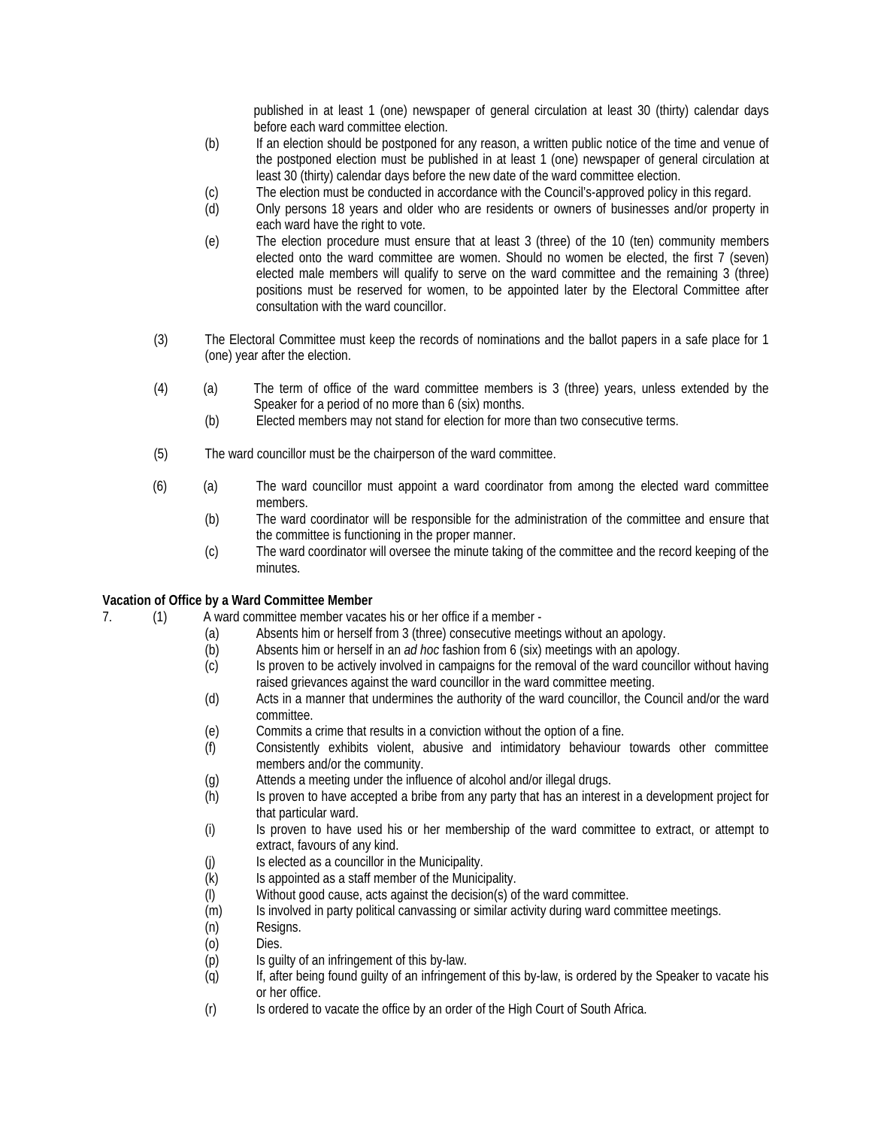published in at least 1 (one) newspaper of general circulation at least 30 (thirty) calendar days before each ward committee election.

- (b) If an election should be postponed for any reason, a written public notice of the time and venue of the postponed election must be published in at least 1 (one) newspaper of general circulation at least 30 (thirty) calendar days before the new date of the ward committee election.
- (c) The election must be conducted in accordance with the Council's-approved policy in this regard.
- (d) Only persons 18 years and older who are residents or owners of businesses and/or property in each ward have the right to vote.
- (e) The election procedure must ensure that at least 3 (three) of the 10 (ten) community members elected onto the ward committee are women. Should no women be elected, the first 7 (seven) elected male members will qualify to serve on the ward committee and the remaining 3 (three) positions must be reserved for women, to be appointed later by the Electoral Committee after consultation with the ward councillor.
- (3) The Electoral Committee must keep the records of nominations and the ballot papers in a safe place for 1 (one) year after the election.
- (4) (a) The term of office of the ward committee members is 3 (three) years, unless extended by the Speaker for a period of no more than 6 (six) months.
	- (b) Elected members may not stand for election for more than two consecutive terms.
- (5) The ward councillor must be the chairperson of the ward committee.
- (6) (a) The ward councillor must appoint a ward coordinator from among the elected ward committee members.
	- (b) The ward coordinator will be responsible for the administration of the committee and ensure that the committee is functioning in the proper manner.
	- (c) The ward coordinator will oversee the minute taking of the committee and the record keeping of the minutes.

### **Vacation of Office by a Ward Committee Member**

- 7. (1) A ward committee member vacates his or her office if a member
	- (a) Absents him or herself from 3 (three) consecutive meetings without an apology.
	- (b) Absents him or herself in an *ad hoc* fashion from 6 (six) meetings with an apology.
	- Is proven to be actively involved in campaigns for the removal of the ward councillor without having raised grievances against the ward councillor in the ward committee meeting.
	- (d) Acts in a manner that undermines the authority of the ward councillor, the Council and/or the ward committee.
	- (e) Commits a crime that results in a conviction without the option of a fine.
	- (f) Consistently exhibits violent, abusive and intimidatory behaviour towards other committee members and/or the community.
	- (g) Attends a meeting under the influence of alcohol and/or illegal drugs.
	- (h) Is proven to have accepted a bribe from any party that has an interest in a development project for that particular ward.
	- (i) Is proven to have used his or her membership of the ward committee to extract, or attempt to extract, favours of any kind.
	- (j) Is elected as a councillor in the Municipality.<br>(k) Is appointed as a staff member of the Munici
	- Is appointed as a staff member of the Municipality.
	- (l) Without good cause, acts against the decision(s) of the ward committee.
	- (m) Is involved in party political canvassing or similar activity during ward committee meetings.
	- (n) Resigns.
	- (o) Dies.
	- (p) Is guilty of an infringement of this by-law.
	- (q) If, after being found guilty of an infringement of this by-law, is ordered by the Speaker to vacate his or her office.
	- (r) Is ordered to vacate the office by an order of the High Court of South Africa.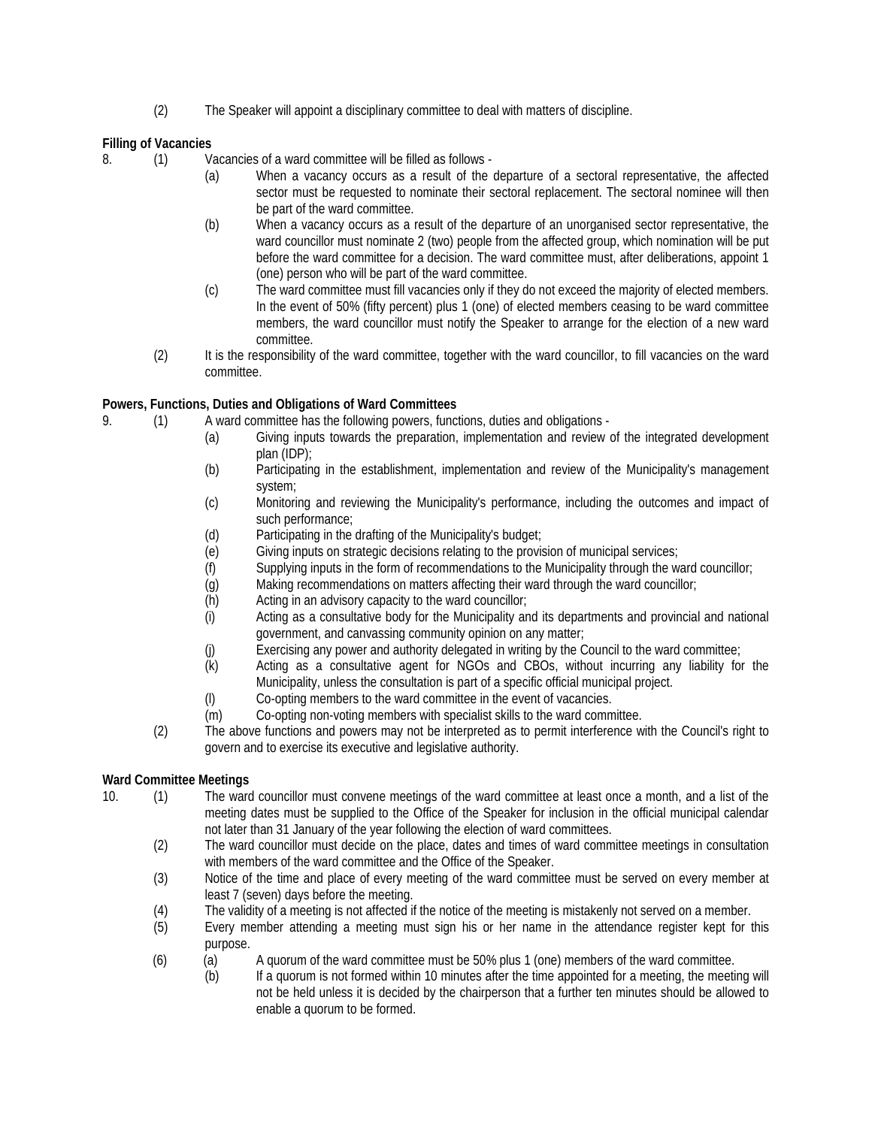(2) The Speaker will appoint a disciplinary committee to deal with matters of discipline.

**Filling of Vacancies**

8. (1) Vacancies of a ward committee will be filled as follows -

- (a) When a vacancy occurs as a result of the departure of a sectoral representative, the affected sector must be requested to nominate their sectoral replacement. The sectoral nominee will then be part of the ward committee.
- (b) When a vacancy occurs as a result of the departure of an unorganised sector representative, the ward councillor must nominate 2 (two) people from the affected group, which nomination will be put before the ward committee for a decision. The ward committee must, after deliberations, appoint 1 (one) person who will be part of the ward committee.
- (c) The ward committee must fill vacancies only if they do not exceed the majority of elected members. In the event of 50% (fifty percent) plus 1 (one) of elected members ceasing to be ward committee members, the ward councillor must notify the Speaker to arrange for the election of a new ward committee.
- (2) It is the responsibility of the ward committee, together with the ward councillor, to fill vacancies on the ward committee.

# **Powers, Functions, Duties and Obligations of Ward Committees**

- 9. (1) A ward committee has the following powers, functions, duties and obligations
	- (a) Giving inputs towards the preparation, implementation and review of the integrated development plan (IDP);
		- (b) Participating in the establishment, implementation and review of the Municipality's management system;
		- (c) Monitoring and reviewing the Municipality's performance, including the outcomes and impact of such performance;
		- (d) Participating in the drafting of the Municipality's budget;
		- (e) Giving inputs on strategic decisions relating to the provision of municipal services;
		- (f) Supplying inputs in the form of recommendations to the Municipality through the ward councillor;
		- (g) Making recommendations on matters affecting their ward through the ward councillor;
		- (h) Acting in an advisory capacity to the ward councillor;
		- (i) Acting as a consultative body for the Municipality and its departments and provincial and national government, and canvassing community opinion on any matter;
		- (j) Exercising any power and authority delegated in writing by the Council to the ward committee;<br>(k) Acting as a consultative agent for NGOs and CBOs, without incurring any liability for
		- Acting as a consultative agent for NGOs and CBOs, without incurring any liability for the Municipality, unless the consultation is part of a specific official municipal project.
		- (l) Co-opting members to the ward committee in the event of vacancies.
		- (m) Co-opting non-voting members with specialist skills to the ward committee.
	- (2) The above functions and powers may not be interpreted as to permit interference with the Council's right to govern and to exercise its executive and legislative authority.

# **Ward Committee Meetings**

- 10. (1) The ward councillor must convene meetings of the ward committee at least once a month, and a list of the meeting dates must be supplied to the Office of the Speaker for inclusion in the official municipal calendar not later than 31 January of the year following the election of ward committees.
	- (2) The ward councillor must decide on the place, dates and times of ward committee meetings in consultation with members of the ward committee and the Office of the Speaker.
	- (3) Notice of the time and place of every meeting of the ward committee must be served on every member at least 7 (seven) days before the meeting.
	- (4) The validity of a meeting is not affected if the notice of the meeting is mistakenly not served on a member.
	- (5) Every member attending a meeting must sign his or her name in the attendance register kept for this purpose.
	- (6) (a) A quorum of the ward committee must be 50% plus 1 (one) members of the ward committee.
		- (b) If a quorum is not formed within 10 minutes after the time appointed for a meeting, the meeting will not be held unless it is decided by the chairperson that a further ten minutes should be allowed to enable a quorum to be formed.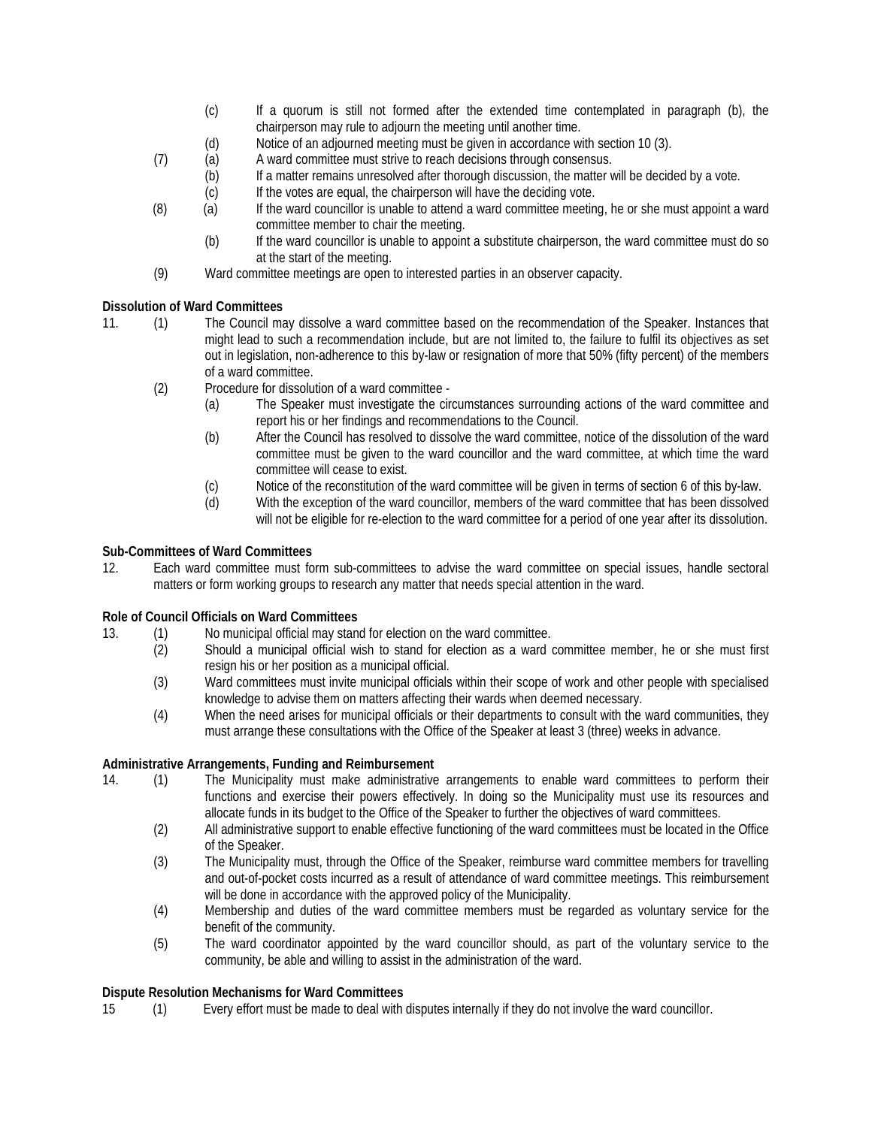- (c) If a quorum is still not formed after the extended time contemplated in paragraph (b), the chairperson may rule to adjourn the meeting until another time.
- (d) Notice of an adjourned meeting must be given in accordance with section 10 (3).
- (7) (a) A ward committee must strive to reach decisions through consensus.<br>(b) If a matter remains unresolved after thorough discussion, the matter v
	- If a matter remains unresolved after thorough discussion, the matter will be decided by a vote.
	- (c) If the votes are equal, the chairperson will have the deciding vote.
- (8) (a) If the ward councillor is unable to attend a ward committee meeting, he or she must appoint a ward committee member to chair the meeting.
	- (b) If the ward councillor is unable to appoint a substitute chairperson, the ward committee must do so at the start of the meeting.
- (9) Ward committee meetings are open to interested parties in an observer capacity.

## **Dissolution of Ward Committees**

- 11. (1) The Council may dissolve a ward committee based on the recommendation of the Speaker. Instances that might lead to such a recommendation include, but are not limited to, the failure to fulfil its objectives as set out in legislation, non-adherence to this by-law or resignation of more that 50% (fifty percent) of the members of a ward committee.
	- (2) Procedure for dissolution of a ward committee
		- (a) The Speaker must investigate the circumstances surrounding actions of the ward committee and report his or her findings and recommendations to the Council.
		- (b) After the Council has resolved to dissolve the ward committee, notice of the dissolution of the ward committee must be given to the ward councillor and the ward committee, at which time the ward committee will cease to exist.
		- (c) Notice of the reconstitution of the ward committee will be given in terms of section 6 of this by-law.<br>(d) With the exception of the ward councillor, members of the ward committee that has been dissolved
		- With the exception of the ward councillor, members of the ward committee that has been dissolved will not be eligible for re-election to the ward committee for a period of one year after its dissolution.

## **Sub-Committees of Ward Committees**

12. Each ward committee must form sub-committees to advise the ward committee on special issues, handle sectoral matters or form working groups to research any matter that needs special attention in the ward.

### **Role of Council Officials on Ward Committees**

- 13. (1) No municipal official may stand for election on the ward committee.
	- (2) Should a municipal official wish to stand for election as a ward committee member, he or she must first resign his or her position as a municipal official.
	- (3) Ward committees must invite municipal officials within their scope of work and other people with specialised knowledge to advise them on matters affecting their wards when deemed necessary.
	- (4) When the need arises for municipal officials or their departments to consult with the ward communities, they must arrange these consultations with the Office of the Speaker at least 3 (three) weeks in advance.

### **Administrative Arrangements, Funding and Reimbursement**

- 14. (1) The Municipality must make administrative arrangements to enable ward committees to perform their functions and exercise their powers effectively. In doing so the Municipality must use its resources and allocate funds in its budget to the Office of the Speaker to further the objectives of ward committees.
	- (2) All administrative support to enable effective functioning of the ward committees must be located in the Office of the Speaker.
	- (3) The Municipality must, through the Office of the Speaker, reimburse ward committee members for travelling and out-of-pocket costs incurred as a result of attendance of ward committee meetings. This reimbursement will be done in accordance with the approved policy of the Municipality.
	- (4) Membership and duties of the ward committee members must be regarded as voluntary service for the benefit of the community.
	- (5) The ward coordinator appointed by the ward councillor should, as part of the voluntary service to the community, be able and willing to assist in the administration of the ward.

## **Dispute Resolution Mechanisms for Ward Committees**

15 (1) Every effort must be made to deal with disputes internally if they do not involve the ward councillor.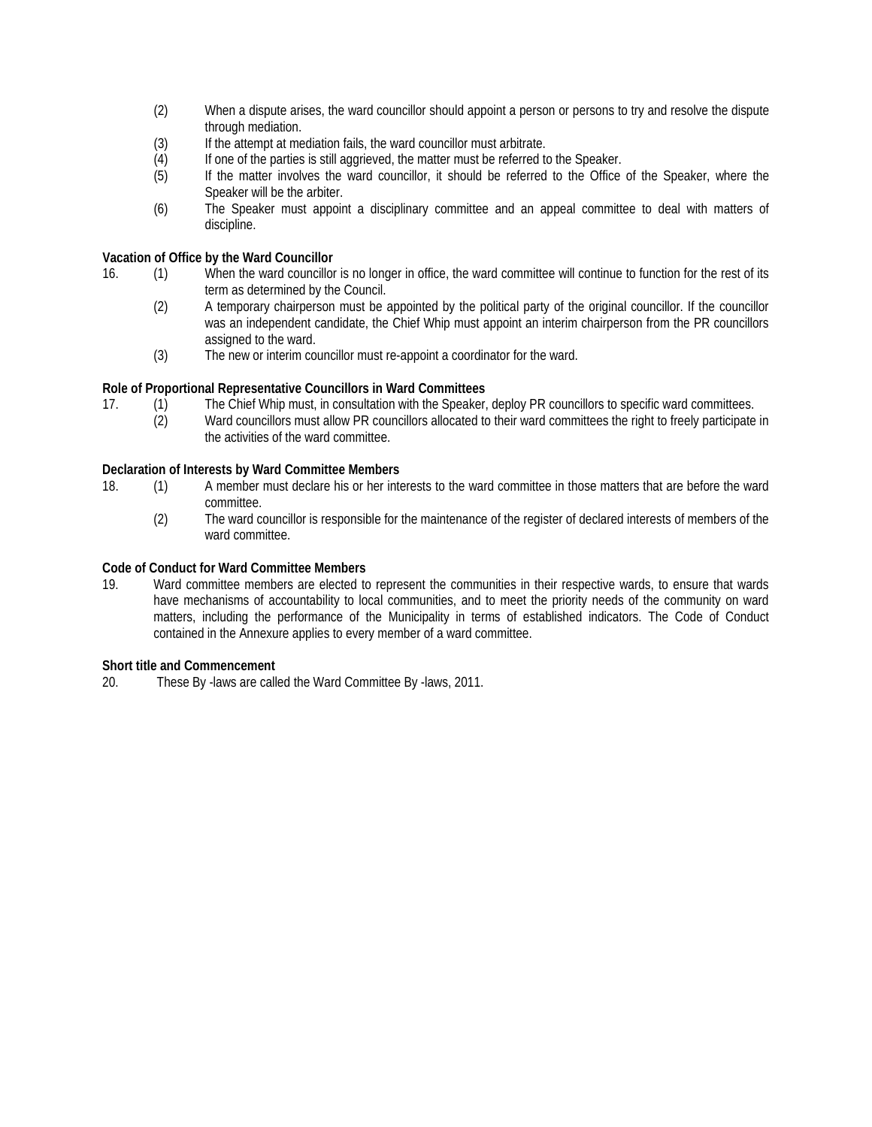- (2) When a dispute arises, the ward councillor should appoint a person or persons to try and resolve the dispute through mediation.
- (3) If the attempt at mediation fails, the ward councillor must arbitrate.
- (4) If one of the parties is still aggrieved, the matter must be referred to the Speaker.<br>(5) If the matter involves the ward councillor, it should be referred to the Office
- If the matter involves the ward councillor, it should be referred to the Office of the Speaker, where the Speaker will be the arbiter.
- (6) The Speaker must appoint a disciplinary committee and an appeal committee to deal with matters of discipline.

## **Vacation of Office by the Ward Councillor**

- 16. (1) When the ward councillor is no longer in office, the ward committee will continue to function for the rest of its term as determined by the Council.
	- (2) A temporary chairperson must be appointed by the political party of the original councillor. If the councillor was an independent candidate, the Chief Whip must appoint an interim chairperson from the PR councillors assigned to the ward.
	- (3) The new or interim councillor must re-appoint a coordinator for the ward.

### **Role of Proportional Representative Councillors in Ward Committees**

- 17. (1) The Chief Whip must, in consultation with the Speaker, deploy PR councillors to specific ward committees.
	- (2) Ward councillors must allow PR councillors allocated to their ward committees the right to freely participate in the activities of the ward committee.

### **Declaration of Interests by Ward Committee Members**

- 18. (1) A member must declare his or her interests to the ward committee in those matters that are before the ward committee.
	- (2) The ward councillor is responsible for the maintenance of the register of declared interests of members of the ward committee.

### **Code of Conduct for Ward Committee Members**

19. Ward committee members are elected to represent the communities in their respective wards, to ensure that wards have mechanisms of accountability to local communities, and to meet the priority needs of the community on ward matters, including the performance of the Municipality in terms of established indicators. The Code of Conduct contained in the Annexure applies to every member of a ward committee.

### **Short title and Commencement**

20. These By -laws are called the Ward Committee By -laws, 2011.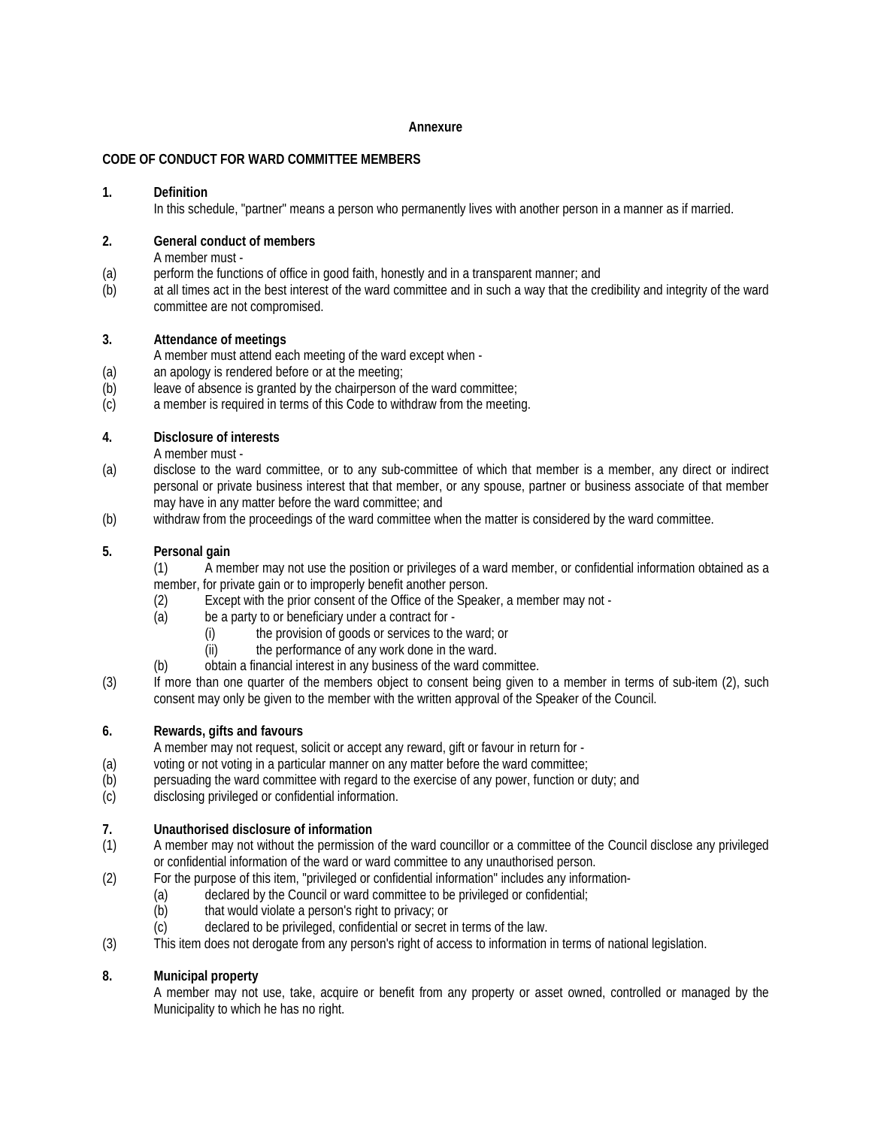#### **Annexure**

## **CODE OF CONDUCT FOR WARD COMMITTEE MEMBERS**

### **1. Definition**

In this schedule, "partner" means a person who permanently lives with another person in a manner as if married.

# **2. General conduct of members**

A member must -

- (a) perform the functions of office in good faith, honestly and in a transparent manner; and
- (b) at all times act in the best interest of the ward committee and in such a way that the credibility and integrity of the ward committee are not compromised.

## **3. Attendance of meetings**

A member must attend each meeting of the ward except when -

- (a) an apology is rendered before or at the meeting;
- (b) leave of absence is granted by the chairperson of the ward committee;
- (c) a member is required in terms of this Code to withdraw from the meeting.

## **4. Disclosure of interests**

A member must -

- (a) disclose to the ward committee, or to any sub-committee of which that member is a member, any direct or indirect personal or private business interest that that member, or any spouse, partner or business associate of that member may have in any matter before the ward committee; and
- (b) withdraw from the proceedings of the ward committee when the matter is considered by the ward committee.

## **5. Personal gain**

(1) A member may not use the position or privileges of a ward member, or confidential information obtained as a member, for private gain or to improperly benefit another person.

- (2) Except with the prior consent of the Office of the Speaker, a member may not -
- (a) be a party to or beneficiary under a contract for
	- (i) the provision of goods or services to the ward; or
	- (ii) the performance of any work done in the ward.
- (b) obtain a financial interest in any business of the ward committee.
- (3) If more than one quarter of the members object to consent being given to a member in terms of sub-item (2), such consent may only be given to the member with the written approval of the Speaker of the Council.

### **6. Rewards, gifts and favours**

A member may not request, solicit or accept any reward, gift or favour in return for -

- (a) voting or not voting in a particular manner on any matter before the ward committee;
- (b) persuading the ward committee with regard to the exercise of any power, function or duty; and
- (c) disclosing privileged or confidential information.

# **7. Unauthorised disclosure of information**

- (1) A member may not without the permission of the ward councillor or a committee of the Council disclose any privileged or confidential information of the ward or ward committee to any unauthorised person.
- (2) For the purpose of this item, "privileged or confidential information" includes any information-
	- (a) declared by the Council or ward committee to be privileged or confidential;
	- (b) that would violate a person's right to privacy; or
	- (c) declared to be privileged, confidential or secret in terms of the law.
- (3) This item does not derogate from any person's right of access to information in terms of national legislation.

# **8. Municipal property**

A member may not use, take, acquire or benefit from any property or asset owned, controlled or managed by the Municipality to which he has no right.